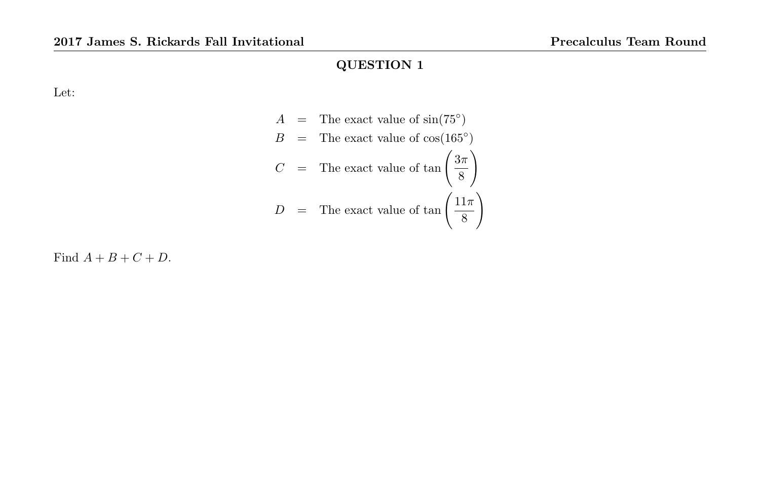Let:

$$
A = \text{The exact value of } \sin(75^\circ)
$$
  
\n
$$
B = \text{The exact value of } \cos(165^\circ)
$$
  
\n
$$
C = \text{The exact value of } \tan\left(\frac{3\pi}{8}\right)
$$
  
\n
$$
D = \text{The exact value of } \tan\left(\frac{11\pi}{8}\right)
$$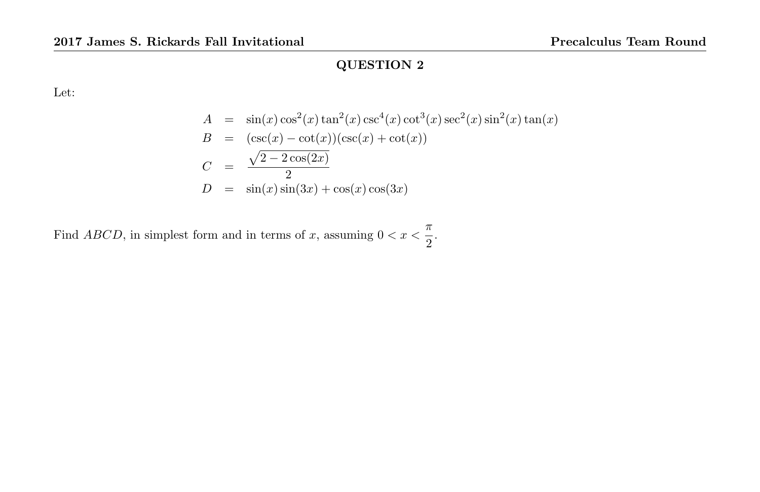Let:

$$
A = \sin(x)\cos^2(x)\tan^2(x)\csc^4(x)\cot^3(x)\sec^2(x)\sin^2(x)\tan(x)
$$
  
\n
$$
B = (\csc(x) - \cot(x))(\csc(x) + \cot(x))
$$
  
\n
$$
C = \frac{\sqrt{2 - 2\cos(2x)}}{2}
$$
  
\n
$$
D = \sin(x)\sin(3x) + \cos(x)\cos(3x)
$$

Find ABCD, in simplest form and in terms of x, assuming  $0 < x < \frac{\pi}{2}$  $\frac{1}{2}$ .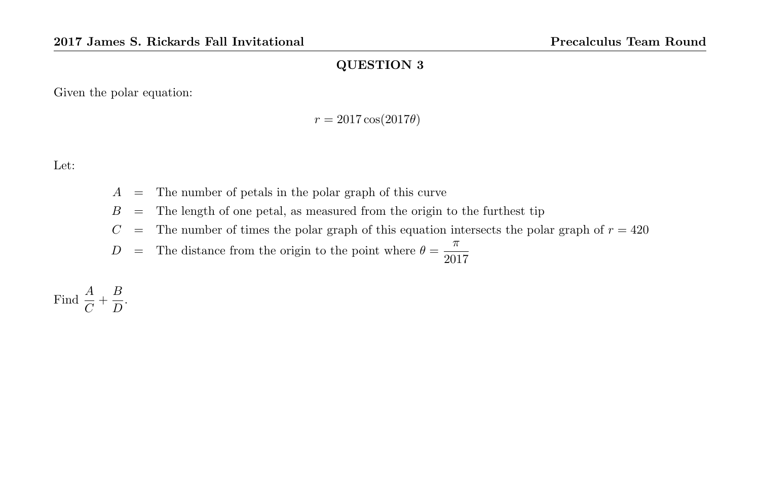Given the polar equation:

$$
r = 2017 \cos(2017\theta)
$$

Let:

- $A =$ The number of petals in the polar graph of this curve
- $B =$  The length of one petal, as measured from the origin to the furthest tip
- $C =$  The number of times the polar graph of this equation intersects the polar graph of  $r = 420$

 $D =$  The distance from the origin to the point where  $\theta = \frac{\pi}{200}$ 2017

Find  $\frac{A}{C} + \frac{B}{D}$  $\frac{D}{D}$ .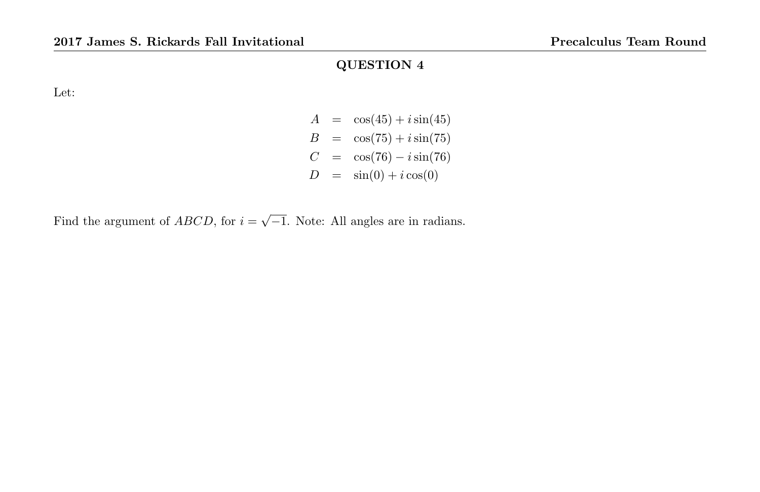Let:

$$
A = \cos(45) + i \sin(45) \n B = \cos(75) + i \sin(75) \n C = \cos(76) - i \sin(76) \n D = \sin(0) + i \cos(0)
$$

Find the argument of *ABCD*, for  $i = \sqrt{-1}$ . Note: All angles are in radians.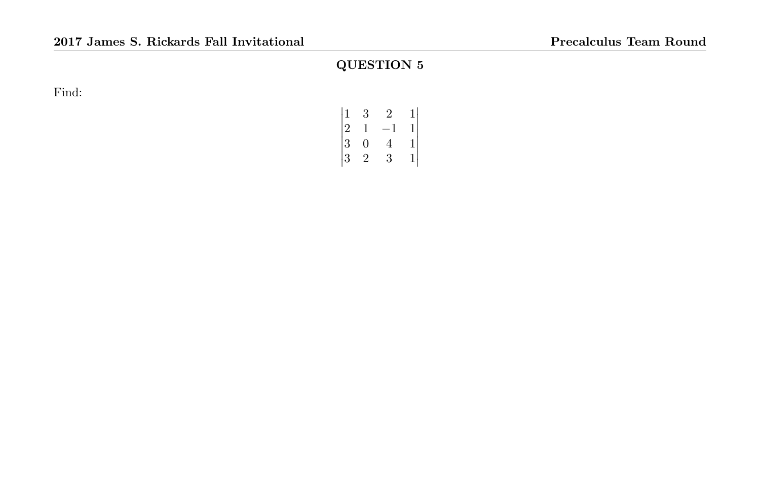Find:

|                                              | 3 | 2 |                                                |
|----------------------------------------------|---|---|------------------------------------------------|
|                                              | 1 | — |                                                |
|                                              | 0 | 4 | $\begin{smallmatrix}1&&1\1&1\end{smallmatrix}$ |
|                                              | 2 | 3 |                                                |
| $\begin{array}{c} 1 \ 2 \ 3 \ 3 \end{array}$ |   |   |                                                |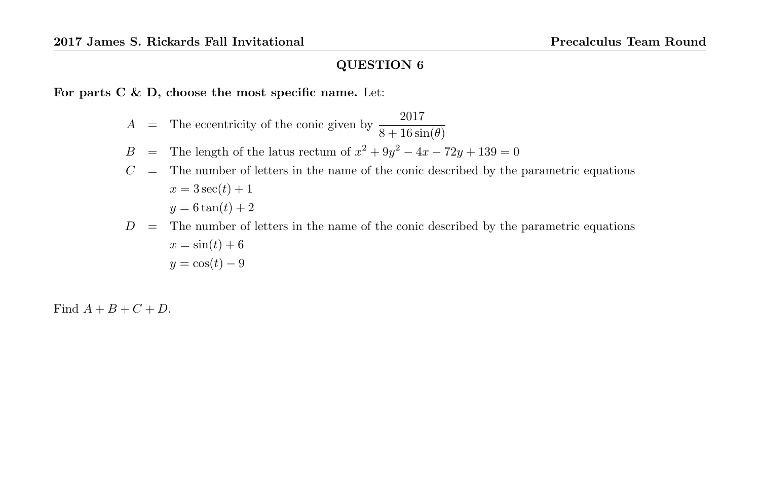For parts  $C \& D$ , choose the most specific name. Let:

$$
A = \text{The eccentricity of the conic given by } \frac{2017}{8 + 16 \sin(\theta)}
$$

- B = The length of the latus rectum of  $x^2 + 9y^2 4x 72y + 139 = 0$
- $C =$  The number of letters in the name of the conic described by the parametric equations  $x = 3 \sec(t) + 1$  $y = 6 \tan(t) + 2$
- $D =$  The number of letters in the name of the conic described by the parametric equations  $x = \sin(t) + 6$  $y = \cos(t) - 9$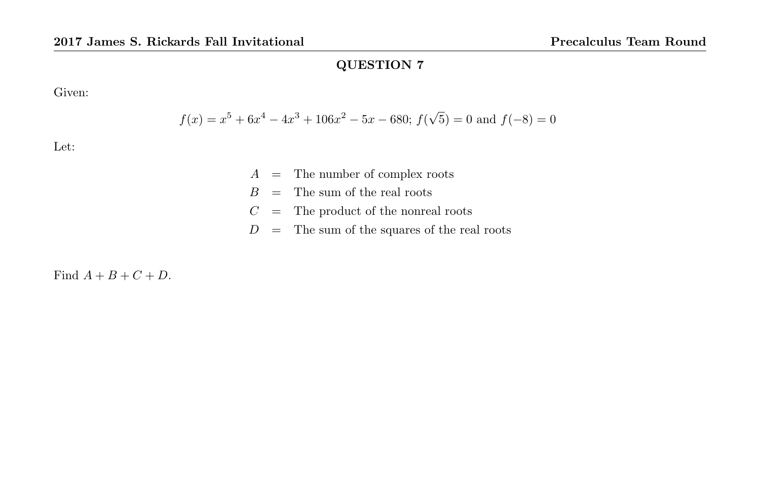Given:

$$
f(x) = x^5 + 6x^4 - 4x^3 + 106x^2 - 5x - 680
$$
;  $f(\sqrt{5}) = 0$  and  $f(-8) = 0$ 

Let:

- $A =$ The number of complex roots
- $B =$  The sum of the real roots
- $C =$  The product of the nonreal roots
- $D =$ The sum of the squares of the real roots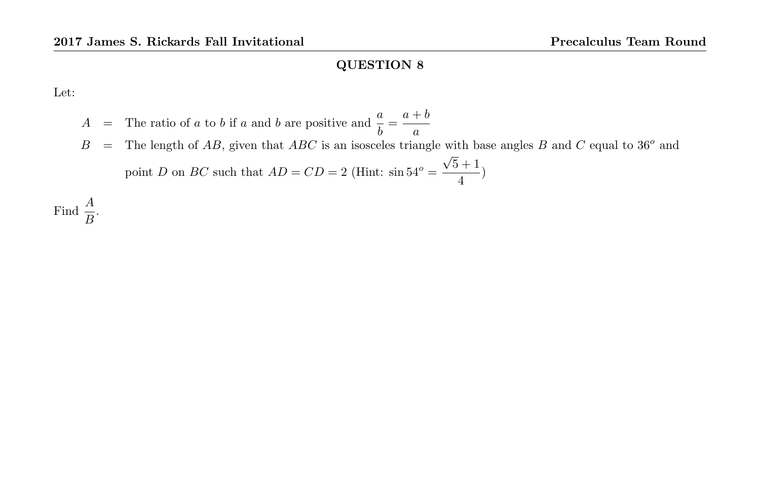Let:

- $A =$  The ratio of a to b if a and b are positive and  $\frac{a}{b} = \frac{a+b}{a}$ a
- $B =$  The length of AB, given that ABC is an isosceles triangle with base angles B and C equal to 36<sup>o</sup> and point D on BC such that  $AD = CD = 2$  (Hint:  $\sin 54^\circ =$ √  $5 + 1$  $\frac{1}{4}$ )

Find  $\frac{A}{B}$ .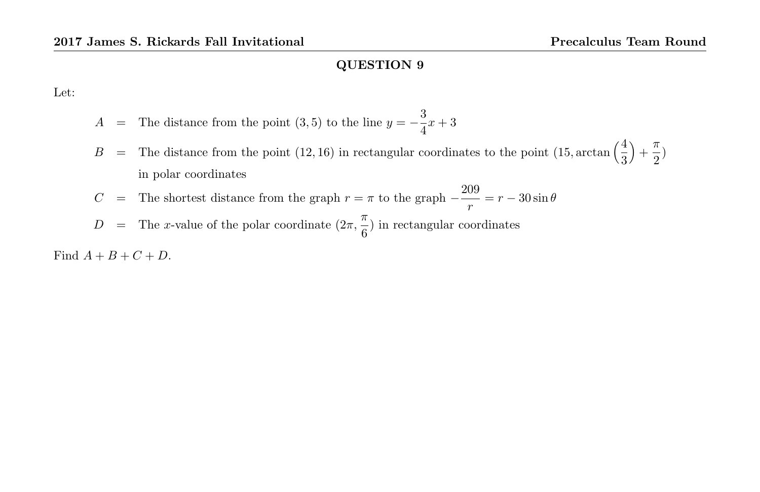Let:

- A = The distance from the point (3,5) to the line  $y = -\frac{3}{4}$  $\frac{3}{4}x + 3$
- B = The distance from the point (12, 16) in rectangular coordinates to the point (15, arctan  $\left(\frac{4}{3}\right)$  $+\frac{\pi}{2}$  $\frac{1}{2})$ in polar coordinates
- $C =$  The shortest distance from the graph  $r = \pi$  to the graph  $-\frac{209}{\pi}$  $\frac{\partial v}{r} = r - 30 \sin \theta$
- $D =$  The x-value of the polar coordinate  $(2\pi, \frac{\pi}{a})$  $\frac{\pi}{6}$ ) in rectangular coordinates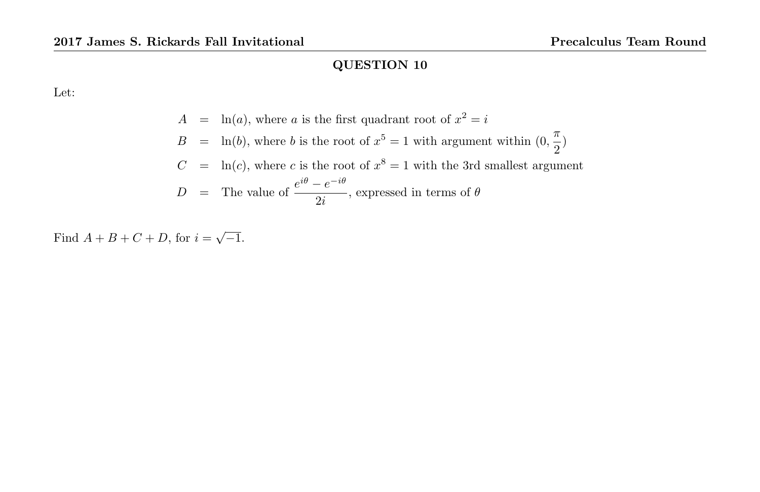Let:

$$
A = \ln(a), \text{ where } a \text{ is the first quadrant root of } x^2 = i
$$
  
\n
$$
B = \ln(b), \text{ where } b \text{ is the root of } x^5 = 1 \text{ with argument within } (0, \frac{\pi}{2})
$$
  
\n
$$
C = \ln(c), \text{ where } c \text{ is the root of } x^8 = 1 \text{ with the 3rd smallest argument}
$$
  
\n
$$
D = \text{The value of } \frac{e^{i\theta} - e^{-i\theta}}{2i}, \text{ expressed in terms of } \theta
$$

Find  $A + B + C + D$ , for  $i = \sqrt{-1}$ .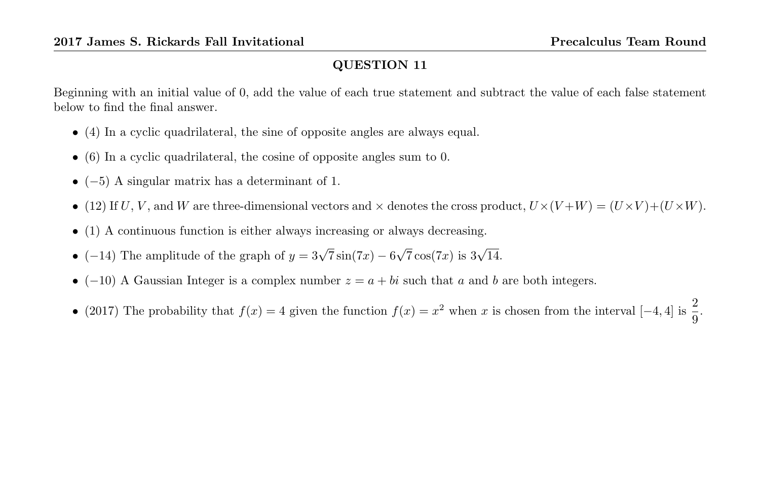Beginning with an initial value of 0, add the value of each true statement and subtract the value of each false statement below to find the final answer.

- (4) In a cyclic quadrilateral, the sine of opposite angles are always equal.
- (6) In a cyclic quadrilateral, the cosine of opposite angles sum to 0.
- $(-5)$  A singular matrix has a determinant of 1.
- (12) If U, V, and W are three-dimensional vectors and  $\times$  denotes the cross product,  $U\times (V+W) = (U\times V)+(U\times W)$ .
- (1) A continuous function is either always increasing or always decreasing.
- (-14) The amplitude of the graph of  $y = 3\sqrt{7}\sin(7x) 6$  $\sqrt{7}\cos(7x)$  is  $3\sqrt{14}$ .
- (-10) A Gaussian Integer is a complex number  $z = a + bi$  such that a and b are both integers.
- (2017) The probability that  $f(x) = 4$  given the function  $f(x) = x^2$  when x is chosen from the interval  $[-4, 4]$  is  $\frac{2}{9}$ .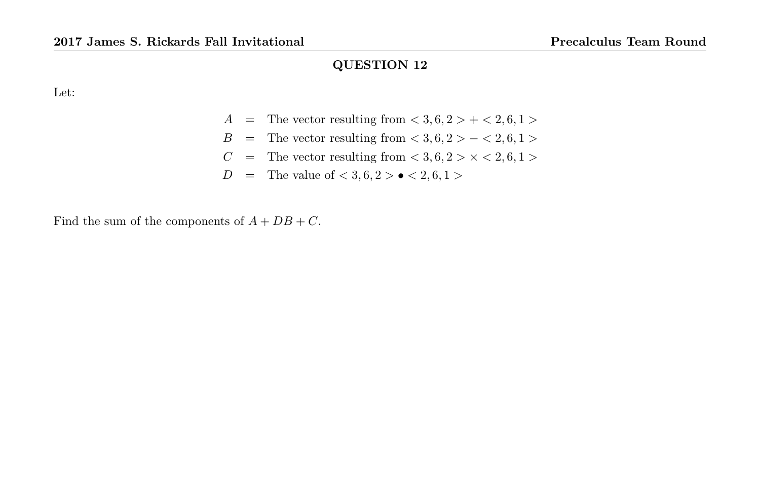Let:

- $A =$ The vector resulting from  $< 3, 6, 2 > + < 2, 6, 1 >$
- B = The vector resulting from  $< 3, 6, 2 > < 2, 6, 1 >$
- $C$  = The vector resulting from  $< 3, 6, 2 > \times < 2, 6, 1 >$
- D = The value of  $< 3, 6, 2 > \bullet < 2, 6, 1 >$

Find the sum of the components of  $A + DB + C$ .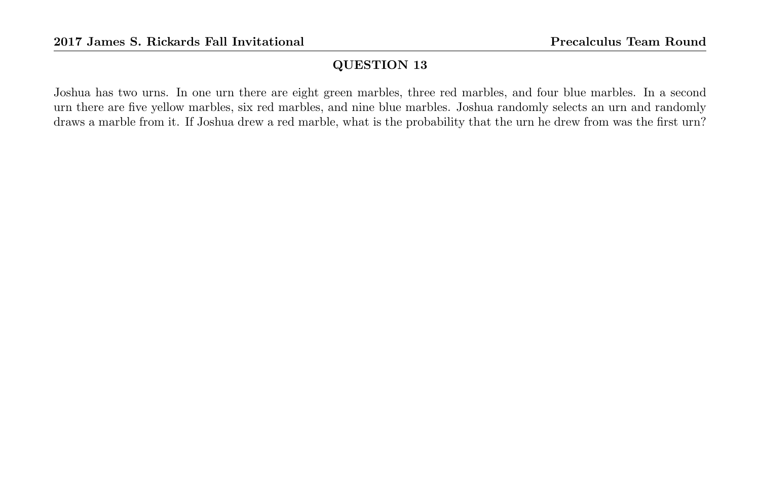Joshua has two urns. In one urn there are eight green marbles, three red marbles, and four blue marbles. In a second urn there are five yellow marbles, six red marbles, and nine blue marbles. Joshua randomly selects an urn and randomly draws a marble from it. If Joshua drew a red marble, what is the probability that the urn he drew from was the first urn?